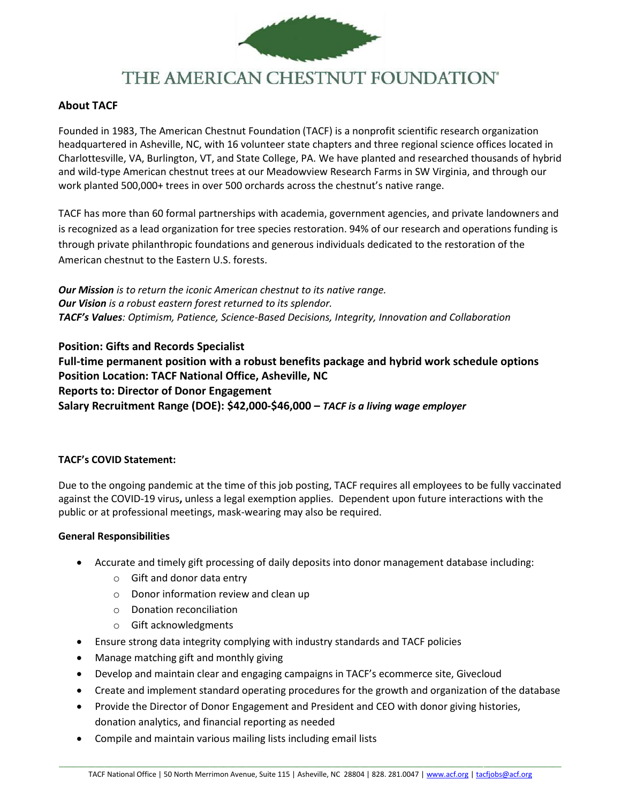

# THE AMERICAN CHESTNUT FOUNDATION®

# **About TACF**

Founded in 1983, The American Chestnut Foundation (TACF) is a nonprofit scientific research organization headquartered in Asheville, NC, with 16 volunteer state chapters and three regional science offices located in Charlottesville, VA, Burlington, VT, and State College, PA. We have planted and researched thousands of hybrid and wild-type American chestnut trees at our Meadowview Research Farms in SW Virginia, and through our work planted 500,000+ trees in over 500 orchards across the chestnut's native range.

TACF has more than 60 formal partnerships with academia, government agencies, and private landowners and is recognized as a lead organization for tree species restoration. 94% of our research and operations funding is through private philanthropic foundations and generous individuals dedicated to the restoration of the American chestnut to the Eastern U.S. forests.

*Our Mission is to return the iconic American chestnut to its native range. Our Vision is a robust eastern forest returned to its splendor. TACF's Values: Optimism, Patience, Science-Based Decisions, Integrity, Innovation and Collaboration*

**Position: Gifts and Records Specialist Full-time permanent position with a robust benefits package and hybrid work schedule options Position Location: TACF National Office, Asheville, NC Reports to: Director of Donor Engagement Salary Recruitment Range (DOE): \$42,000-\$46,000 –** *TACF is a living wage employer*

## **TACF's COVID Statement:**

Due to the ongoing pandemic at the time of this job posting, TACF requires all employees to be fully vaccinated against the COVID-19 virus**,** unless a legal exemption applies. Dependent upon future interactions with the public or at professional meetings, mask-wearing may also be required.

## **General Responsibilities**

- Accurate and timely gift processing of daily deposits into donor management database including:
	- o Gift and donor data entry
	- o Donor information review and clean up
	- o Donation reconciliation
	- o Gift acknowledgments
- Ensure strong data integrity complying with industry standards and TACF policies
- Manage matching gift and monthly giving
- Develop and maintain clear and engaging campaigns in TACF's ecommerce site, Givecloud
- Create and implement standard operating procedures for the growth and organization of the database
- Provide the Director of Donor Engagement and President and CEO with donor giving histories, donation analytics, and financial reporting as needed
- Compile and maintain various mailing lists including email lists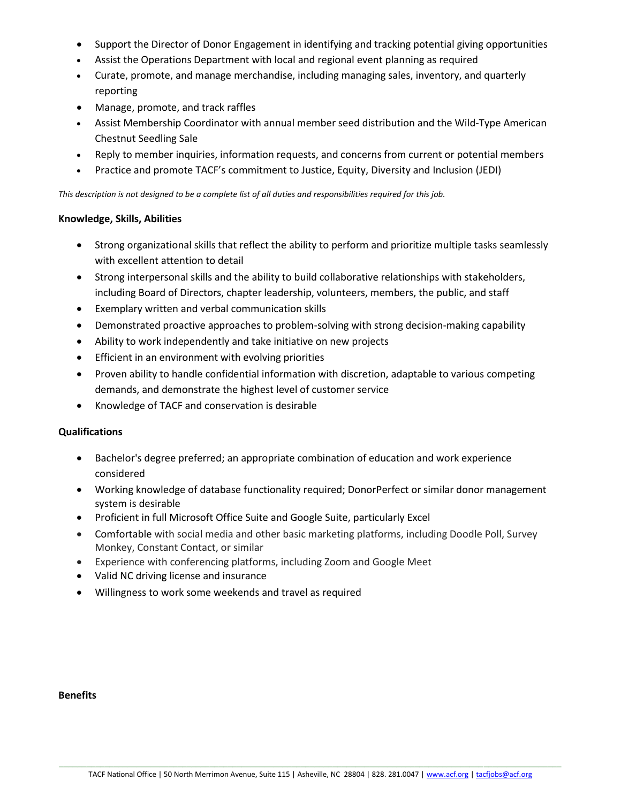- Support the Director of Donor Engagement in identifying and tracking potential giving opportunities
- Assist the Operations Department with local and regional event planning as required
- Curate, promote, and manage merchandise, including managing sales, inventory, and quarterly reporting
- Manage, promote, and track raffles
- Assist Membership Coordinator with annual member seed distribution and the Wild-Type American Chestnut Seedling Sale
- Reply to member inquiries, information requests, and concerns from current or potential members
- Practice and promote TACF's commitment to Justice, Equity, Diversity and Inclusion (JEDI)

*This description is not designed to be a complete list of all duties and responsibilities required for this job.*

#### **Knowledge, Skills, Abilities**

- Strong organizational skills that reflect the ability to perform and prioritize multiple tasks seamlessly with excellent attention to detail
- Strong interpersonal skills and the ability to build collaborative relationships with stakeholders, including Board of Directors, chapter leadership, volunteers, members, the public, and staff
- Exemplary written and verbal communication skills
- Demonstrated proactive approaches to problem-solving with strong decision-making capability
- Ability to work independently and take initiative on new projects
- Efficient in an environment with evolving priorities
- Proven ability to handle confidential information with discretion, adaptable to various competing demands, and demonstrate the highest level of customer service
- Knowledge of TACF and conservation is desirable

## **Qualifications**

- Bachelor's degree preferred; an appropriate combination of education and work experience considered
- Working knowledge of database functionality required; DonorPerfect or similar donor management system is desirable
- Proficient in full Microsoft Office Suite and Google Suite, particularly Excel
- Comfortable with social media and other basic marketing platforms, including Doodle Poll, Survey Monkey, Constant Contact, or similar
- Experience with conferencing platforms, including Zoom and Google Meet
- Valid NC driving license and insurance
- Willingness to work some weekends and travel as required

#### **Benefits**